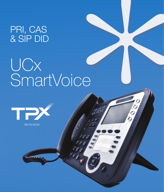## PRI, CAS & SIP DID

# UCx SmartVoice



06/10/2019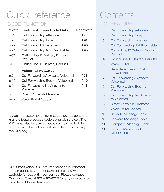## CODE FUNCTION DESCRIPTION REAL PG FEATURE Quick Reference

| Activate   | Feature Access Code Calls                     | Deactivate |
|------------|-----------------------------------------------|------------|
| $\star$ 72 | Call Forwarding (Always)                      | $\star$ 73 |
| $\star$ 90 | Call Forwarding Busy                          | $*91$      |
| $\star$ 92 | Call Forward No Answer                        | $\star$ 93 |
| $\star$ 94 | Call Forwarding Not Reachable                 | $\star$ 95 |
| $\star$ 67 | Calling Line ID Delivery Blocking<br>Per Call |            |
| $\star$ 65 | Calling Line ID Delivery Per Call             |            |
|            | Voicemail Features                            |            |
| $*21$      | Call Forwarding Always to Voicemail           | #21        |
| $\star$ 40 | Call Forwarding Busy to Voicemail             | #40        |
| $*41$      | Call Forwarding No Answer to<br>Voicemail     | #41        |
| $\star$ 55 | Direct Voice Mail Transfer                    |            |
| $\star$ 62 | Voice Portal Access                           |            |

Note: The customer's PBX must be able to send the  $\star$  and a feature access code along with the call. The PBX must also be able to outpulse the specific DID number with the call and not be limited to outpulsing the BTN only.

UCx SmartVoice DID Features must be purchased and assigned to your account before they will be available for use with your service. Please contact Customer Care at 877-487-8722 for any questions or to order additional features.

# Contents

- 3 Call Forwarding (Always)
- 3 Call Forwarding Busy
- 3 Call Forward No Answer
- 4 Call Forwarding Not Reachable
- 4 Calling Line ID Delivery Blocking Per Call
- 4 Calling Line ID Delivery Per Call
- 5 Voice Portal
- 5 Remote Access to Call **Forwarding**
- 7 Call Forwarding Always to Voicemail
- 7 Call Forwarding Busy to Voicemail
- 8 Call Forwarding No Answer to Voicemail
- 8 Direct Voice Mail Transfer
- 9 Voice Portal Access
- $10<sup>-1</sup>$ Reply to Message Table
- 10 Forward Message Table
- 11 Compose Message Table
- 11 Leaving Messages for Other Users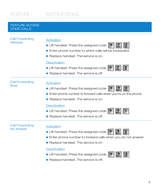#### FEATURE ACCESS CODE CALLS

| <b>Call Forwarding</b><br>(Always)    | Activation<br>2<br>Lift handset. Press the assigned code<br><b>PORS</b><br><b>ABC</b><br>Enter phone number to which calls will be forwarded.<br>Replace handset. The service is on.<br><b>Deactivation</b><br>$\frac{3}{\text{DEF}}$<br>Lift handset. Press the assigned code<br><b>PORS</b><br>Replace handset. The service is off. |
|---------------------------------------|---------------------------------------------------------------------------------------------------------------------------------------------------------------------------------------------------------------------------------------------------------------------------------------------------------------------------------------|
| <b>Call Forwarding</b><br><b>Busy</b> | Activation<br>■ Lift handset. Press the assigned code<br><b>WXYZ</b><br>Oper<br>Enter phone number to forward calls when you're on the phone.<br>Replace handset. The service is on.<br>Deactivation<br>$\frac{9}{2}$<br>Lift handset. Press the assigned code                                                                        |
|                                       | Replace handset. The service is off.                                                                                                                                                                                                                                                                                                  |
| <b>Call Forwarding</b><br>No Answer   | Activation<br>$\mathbf{z}$<br>$\frac{9}{2}$<br>Lift handset. Press the assigned code<br><b>ABC</b><br><b>Example 20</b> Enter phone number to forward calls when you do not answer.<br>Replace handset. The service is on.<br><b>Deactivation</b><br>з<br>■ Lift handset. Press the assigned code<br><b>WXYZ</b><br><b>DEF</b>        |

Replace handset. The service is off.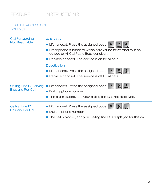#### FEATURE ACCESS CODE CALLS (cont.)

| <b>Call Forwarding</b>   | Activation                                                                                                        |
|--------------------------|-------------------------------------------------------------------------------------------------------------------|
| Not Reachable            | Lift handset. Press the assigned code<br><b>WXYZ</b><br>GHI                                                       |
|                          | <b>E</b> Enter phone number to which calls will be forwarded to in an<br>outage or All Call Paths Busy condition. |
|                          | Replace handset. The service is on for all calls.                                                                 |
|                          | <b>Deactivation</b>                                                                                               |
|                          | $\frac{5}{5}$<br>9<br>Lift handset. Press the assigned code<br><b>WXYZ</b>                                        |
|                          | Replace handset. The service is off for all calls.                                                                |
|                          | Calling Line ID Delivery ■ Lift handset. Press the assigned code<br>O<br><b>MNO</b><br><b>PORS</b>                |
| <b>Blocking Per Call</b> | • Dial the phone number.                                                                                          |
|                          | $\blacksquare$ The call is placed, and your calling line ID is not displayed.                                     |
| Calling Line ID          | 5.<br>Lift handset. Press the assigned code<br>O<br><b>MNO</b><br><b>JKL</b>                                      |
| Delivery Per Call        | Dial the phone number.                                                                                            |
|                          | <b>The call is placed, and your calling line ID is displayed for this call.</b>                                   |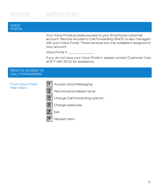#### VOICE PORTAL

Your Voice Portal provides access to your SmartVoice voicemail account. Remote Access to Call Forwarding (RACF) is also managed with your Voice Portal. These services are only available if assigned to your account.

Voice Portal #:

If you do not have your Voice Portal #, please contact Customer Care at 877-487-8722 for assistance.

#### REMOTE ACCESS TO CALL FORWARDING

#### From Voice Portal Main Menu

Access Voice Messaging



 $\mathbf{1}$ 

Record personalized name



#

Change Call Forwarding options †







Repeat menu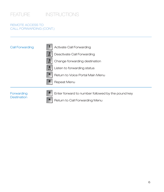#### REMOTE ACCESS TO CALL FORWARDING (CONT.)

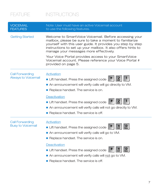| <b>VOICEMAIL</b><br><b>FEATURES</b>                  | Note: User must have an active Voicemail account<br>to use the following features.                                                                                                                                                                                                                                                                                                                                                   |
|------------------------------------------------------|--------------------------------------------------------------------------------------------------------------------------------------------------------------------------------------------------------------------------------------------------------------------------------------------------------------------------------------------------------------------------------------------------------------------------------------|
| <b>Getting Started</b>                               | Welcome to SmartVoice Voicemail. Before accessing your<br>mailbox, please be sure to take a moment to familiarize<br>yourself with this user guide. It provides you step by step<br>instructions to set up your mailbox. It also offers hints to<br>manage your messages more effectively.<br>Your Voice Portal provides access to your SmartVoice<br>Voicemail account. Please reference your Voice Portal #<br>provided on page 5. |
| <b>Call Forwarding</b><br><b>Always to Voicemail</b> | <b>Activation</b><br>$\frac{2}{\text{ABC}}$<br>Lift handset. Press the assigned code<br>An announcement will verify calls will go directly to VM.<br>Replace handset. The service is on.<br><b>Deactivation</b><br>$\frac{2}{\text{ABC}}$<br>Lift handset. Press the assigned code<br>An announcement will verify calls will not go directly to VM.<br>Replace handset. The service is off.                                          |
| <b>Call Forwarding</b><br><b>Busy to Voicemail</b>   | Activation<br>$\frac{0}{\text{Oper}}$<br>$\frac{4}{\text{GHI}}$<br>Lift handset. Press the assigned code<br>An announcement will verify calls will go to VM.<br>Replace handset. The service is on.<br>Deactivation<br>$\frac{4}{5}$<br>0<br>Lift handset. Press the assigned code<br>Oper<br>An announcement will verify calls will not go to VM.<br>Replace handset. The service is off.                                           |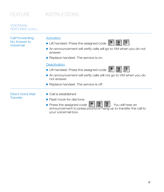your voicemail box.

### VOICEMAIL FEATURES (cont.)

| <b>Call Forwarding</b><br>No Answer to<br>Voicemail | Activation<br>$\star$<br>Lift handset. Press the assigned code<br>GHI<br>An announcement will verify calls will go to VM when you do not                     |
|-----------------------------------------------------|--------------------------------------------------------------------------------------------------------------------------------------------------------------|
|                                                     | answer.<br>Replace handset. The service is on.                                                                                                               |
|                                                     | <b>Deactivation</b>                                                                                                                                          |
|                                                     | #<br>4<br>Lift handset. Press the assigned code<br>GHI                                                                                                       |
|                                                     | An announcement will verify calls will not go to VM when you do<br>not answer.                                                                               |
|                                                     | Replace handset. The service is off.                                                                                                                         |
| Direct Voice Mail                                   | ■ Call is established                                                                                                                                        |
| <b>Transfer</b>                                     | $\blacksquare$ Flash hook for dial tone.                                                                                                                     |
|                                                     | $\frac{5}{5}$<br>$\frac{5}{5}$<br>$\star$<br>Press the assigned code<br>. You will hear an<br>announcement to press pound or hang up to transfer the call to |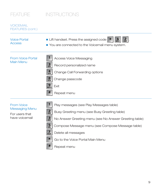#### **VOICEMAIL** FEATURES (cont.)

| <b>Voice Portal</b><br><b>Access</b>         | $\frac{2}{\text{ABC}}$<br>Lift handset. Press the assigned code<br>6<br><sub>MNO</sub><br>$\star$<br>You are connected to the Voicemail menu system.                                                                      |
|----------------------------------------------|---------------------------------------------------------------------------------------------------------------------------------------------------------------------------------------------------------------------------|
| <b>From Voice Portal</b><br><b>Main Menu</b> | <b>Access Voice Messaging</b><br>$\frac{3}{\text{DEF}}$<br>Record personalized name<br>$\frac{4}{5}$<br>Change Call Forwarding options<br>$\frac{8}{100}$<br>Change passcode<br>$\frac{9}{2}$<br>Exit<br>#<br>Repeat menu |

#### From Voice Messaging Menu

For users that have voicemail



 $\mathbf{1}$ 

- Play messages (see Play Messages table)
- Busy Greeting menu (see Busy Greeting table)



No Answer Greeting menu (see No Answer Greeting table) Compose Message menu (see Compose Message table)



Delete all messages



Go to the Voice Portal Main Menu

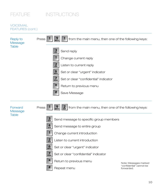#### **VOICEMAIL** FEATURES (cont.)

Reply to **Message Table** 

| $\mathcal{G}_{\text{avg}}$ 1   from the main menu, then one of the following keys:<br>Press |
|---------------------------------------------------------------------------------------------|
| $\frac{3}{\text{DEF}}$<br>Send reply                                                        |
| Change current reply                                                                        |
| $\frac{2}{\text{ABC}}$<br>Listen to current reply                                           |
| 6 <sub>MD</sub><br>Set or clear "urgent" indicator                                          |
| $\overline{7}$<br>Set or clear "confidential" indicator<br><b>PORS</b>                      |
| $\star$<br>Return to previous menu                                                          |
| #<br>Save Message                                                                           |

**Forward** Message **Table** 

- Press  $\begin{bmatrix} 1 & 9 \end{bmatrix}$   $\begin{bmatrix} 9 & 2 \end{bmatrix}$  from the main menu, then one of the following keys:
	- $\frac{3}{\text{DEF}}$ Send message to specific group members



 $\mathbf{1}$ 

- Send message to entire group
- Change current introduction
- $\frac{2}{ABC}$ Listen to current introduction
- $6<sub>MNO</sub>$ 
	- Set or clear "urgent" indicator



Set or clear "confidential" indicator



Return to previous menu



Repeat menu

Note: Messages marked "confidential" cannot be forwarded.